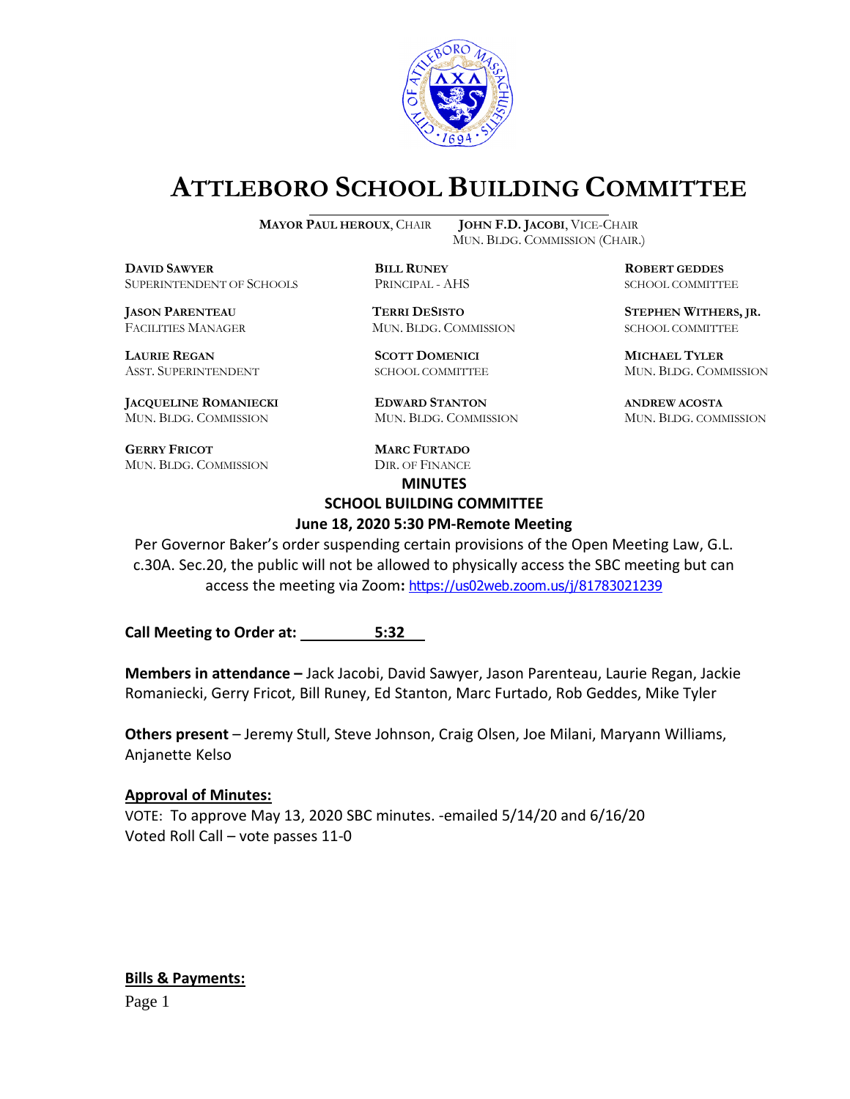

# **ATTLEBORO SCHOOL BUILDING COMMITTEE**

**MAYOR PAUL HEROUX**, CHAIR **JOHN F.D. JACOBI**, VICE-CHAIR

**DDAWYER BILL RUNEY ROBERT GEDDES** SUPERINTENDENT OF SCHOOLS PRINCIPAL - AHS SCHOOL COMMITTEE

FACILITIES MANAGER MUN. BLDG. COMMISSION SCHOOL COMMITTEE

**LAURIE REGAN SCOTT DOMENICI MICHAEL TYLER**

**JACQUELINE ROMANIECKI EDWARD STANTON ANDREW ACOSTA** MUN. BLDG. COMMISSION MUN. BLDG. COMMISSION MUN. BLDG. COMMISSION

**GERRY FRICOT MARC FURTADO** MUN. BLDG. COMMISSION DIR. OF FINANCE

MUN. BLDG. COMMISSION (CHAIR.)

**JASON PARENTEAU TERRI DESISTO STEPHEN WITHERS, JR.**

ASST. SUPERINTENDENT SCHOOL COMMITTEE MUN. BLDG. COMMISSION

# **MINUTES SCHOOL BUILDING COMMITTEE**

#### **June 18, 2020 5:30 PM-Remote Meeting**

Per Governor Baker's order suspending certain provisions of the Open Meeting Law, G.L. c.30A. Sec.20, the public will not be allowed to physically access the SBC meeting but can access the meeting via Zoom**:** <https://us02web.zoom.us/j/81783021239>

**Call Meeting to Order at: 5:32**

**Members in attendance –** Jack Jacobi, David Sawyer, Jason Parenteau, Laurie Regan, Jackie Romaniecki, Gerry Fricot, Bill Runey, Ed Stanton, Marc Furtado, Rob Geddes, Mike Tyler

**Others present** – Jeremy Stull, Steve Johnson, Craig Olsen, Joe Milani, Maryann Williams, Anjanette Kelso

#### **Approval of Minutes:**

VOTE: To approve May 13, 2020 SBC minutes. -emailed 5/14/20 and 6/16/20 Voted Roll Call – vote passes 11-0

**Bills & Payments:**

Page 1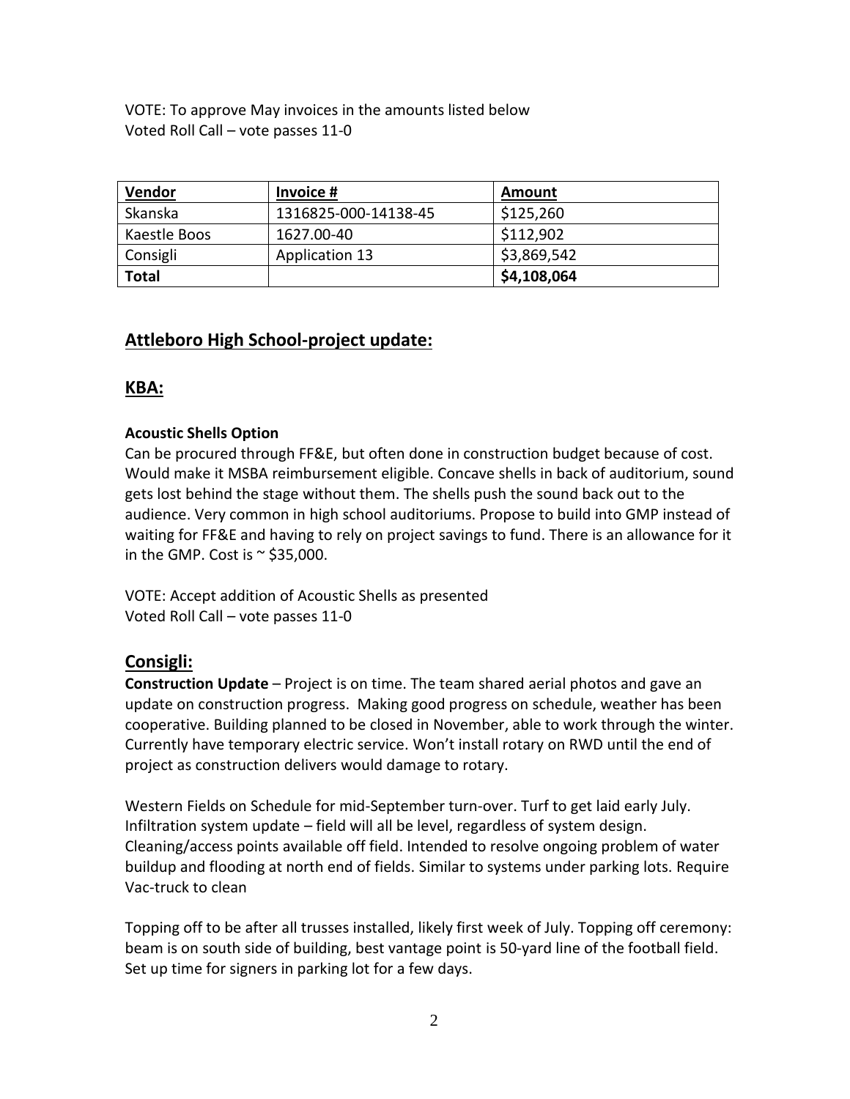VOTE: To approve May invoices in the amounts listed below Voted Roll Call – vote passes 11-0

| Vendor       | Invoice #             | Amount      |
|--------------|-----------------------|-------------|
| Skanska      | 1316825-000-14138-45  | \$125,260   |
| Kaestle Boos | 1627.00-40            | \$112,902   |
| Consigli     | <b>Application 13</b> | \$3,869,542 |
| Total        |                       | \$4,108,064 |

# **Attleboro High School-project update:**

# **KBA:**

## **Acoustic Shells Option**

Can be procured through FF&E, but often done in construction budget because of cost. Would make it MSBA reimbursement eligible. Concave shells in back of auditorium, sound gets lost behind the stage without them. The shells push the sound back out to the audience. Very common in high school auditoriums. Propose to build into GMP instead of waiting for FF&E and having to rely on project savings to fund. There is an allowance for it in the GMP. Cost is  $\approx$  \$35,000.

VOTE: Accept addition of Acoustic Shells as presented Voted Roll Call – vote passes 11-0

## **Consigli:**

**Construction Update** – Project is on time. The team shared aerial photos and gave an update on construction progress. Making good progress on schedule, weather has been cooperative. Building planned to be closed in November, able to work through the winter. Currently have temporary electric service. Won't install rotary on RWD until the end of project as construction delivers would damage to rotary.

Western Fields on Schedule for mid-September turn-over. Turf to get laid early July. Infiltration system update – field will all be level, regardless of system design. Cleaning/access points available off field. Intended to resolve ongoing problem of water buildup and flooding at north end of fields. Similar to systems under parking lots. Require Vac-truck to clean

Topping off to be after all trusses installed, likely first week of July. Topping off ceremony: beam is on south side of building, best vantage point is 50-yard line of the football field. Set up time for signers in parking lot for a few days.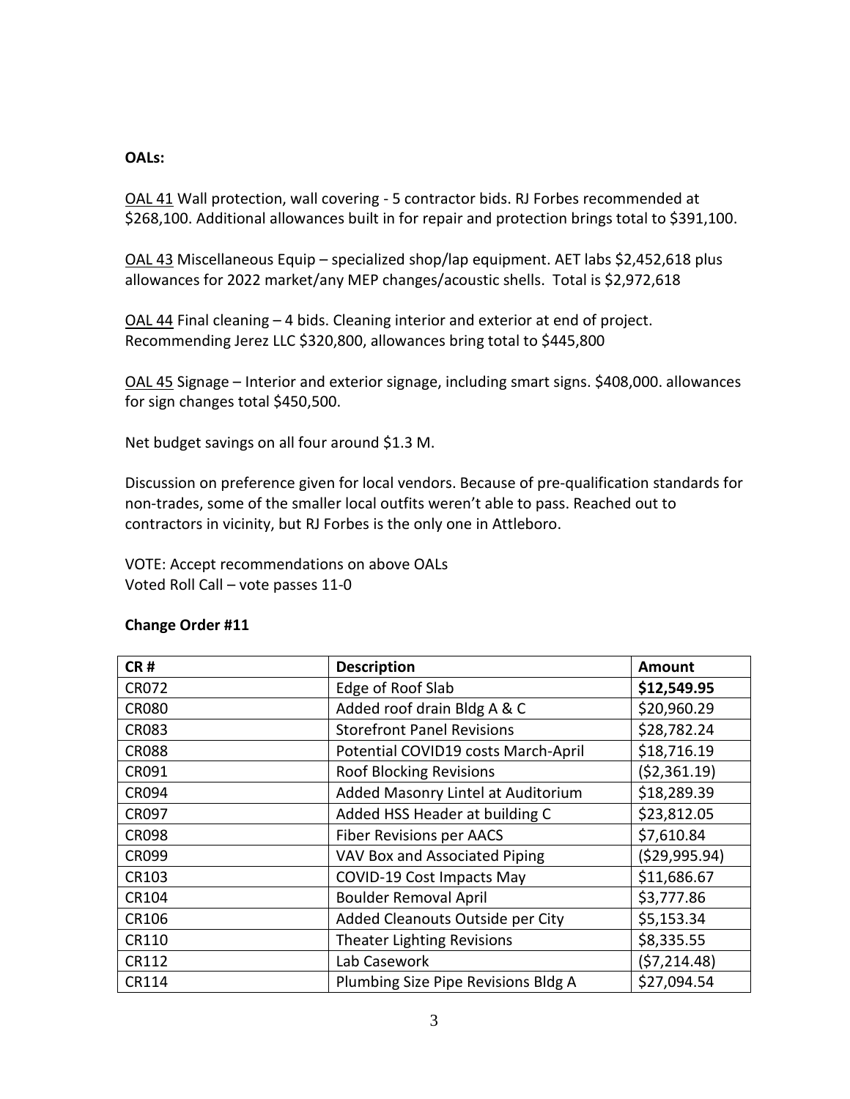### **OALs:**

OAL 41 Wall protection, wall covering - 5 contractor bids. RJ Forbes recommended at \$268,100. Additional allowances built in for repair and protection brings total to \$391,100.

OAL 43 Miscellaneous Equip – specialized shop/lap equipment. AET labs \$2,452,618 plus allowances for 2022 market/any MEP changes/acoustic shells. Total is \$2,972,618

OAL 44 Final cleaning – 4 bids. Cleaning interior and exterior at end of project. Recommending Jerez LLC \$320,800, allowances bring total to \$445,800

OAL 45 Signage – Interior and exterior signage, including smart signs. \$408,000. allowances for sign changes total \$450,500.

Net budget savings on all four around \$1.3 M.

Discussion on preference given for local vendors. Because of pre-qualification standards for non-trades, some of the smaller local outfits weren't able to pass. Reached out to contractors in vicinity, but RJ Forbes is the only one in Attleboro.

VOTE: Accept recommendations on above OALs Voted Roll Call – vote passes 11-0

| CR#          | <b>Description</b>                  | <b>Amount</b>   |
|--------------|-------------------------------------|-----------------|
| <b>CR072</b> | Edge of Roof Slab                   | \$12,549.95     |
| <b>CR080</b> | Added roof drain Bldg A & C         | \$20,960.29     |
| <b>CR083</b> | <b>Storefront Panel Revisions</b>   | \$28,782.24     |
| <b>CR088</b> | Potential COVID19 costs March-April | \$18,716.19     |
| CR091        | <b>Roof Blocking Revisions</b>      | ( \$2,361.19)   |
| <b>CR094</b> | Added Masonry Lintel at Auditorium  | \$18,289.39     |
| <b>CR097</b> | Added HSS Header at building C      | \$23,812.05     |
| <b>CR098</b> | <b>Fiber Revisions per AACS</b>     | \$7,610.84      |
| <b>CR099</b> | VAV Box and Associated Piping       | ( \$29, 995.94) |
| CR103        | <b>COVID-19 Cost Impacts May</b>    | \$11,686.67     |
| CR104        | <b>Boulder Removal April</b>        | \$3,777.86      |
| CR106        | Added Cleanouts Outside per City    | \$5,153.34      |
| CR110        | <b>Theater Lighting Revisions</b>   | \$8,335.55      |
| CR112        | Lab Casework                        | (57, 214.48)    |
| CR114        | Plumbing Size Pipe Revisions Bldg A | \$27,094.54     |

#### **Change Order #11**